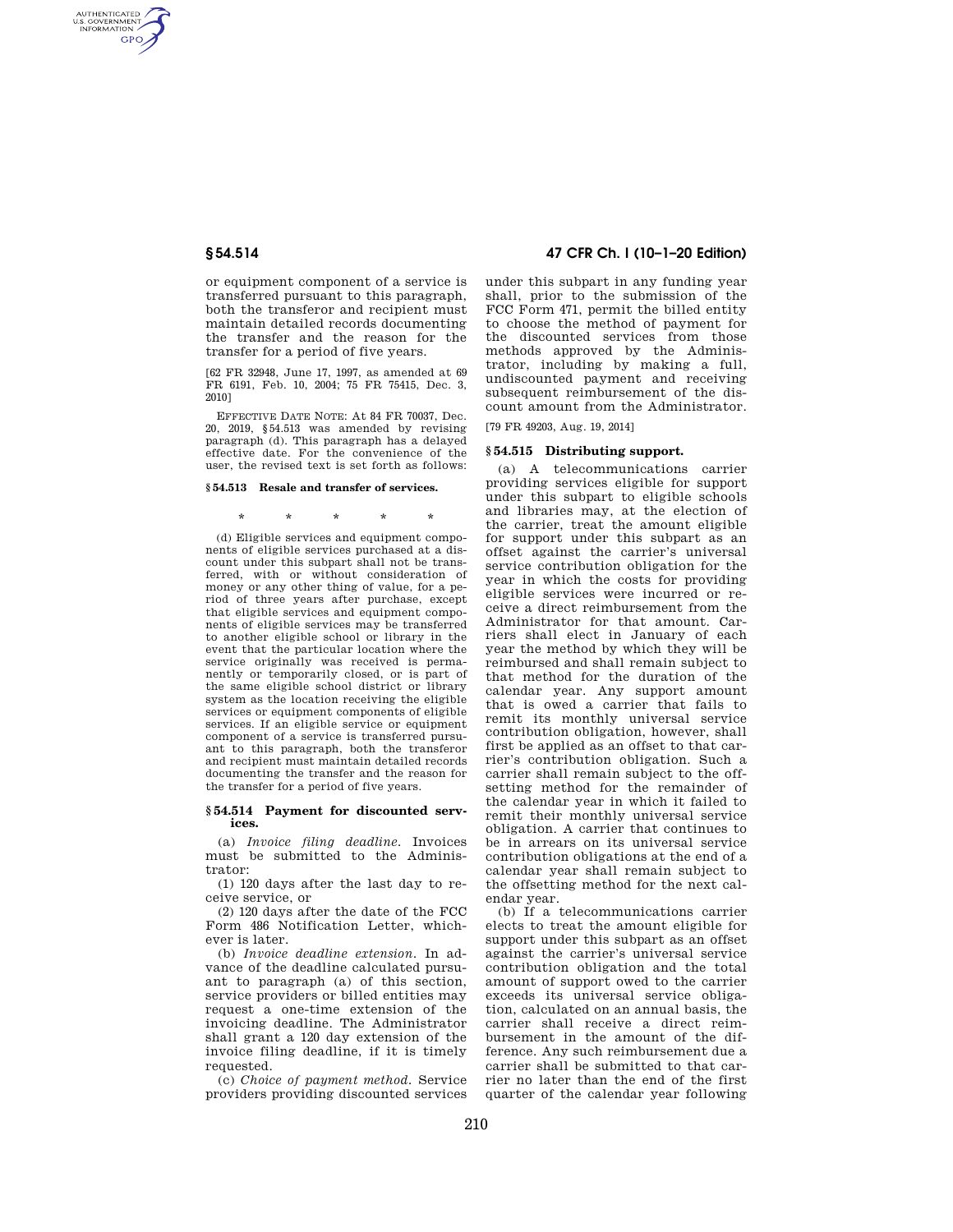AUTHENTICATED<br>U.S. GOVERNMENT<br>INFORMATION **GPO** 

> or equipment component of a service is transferred pursuant to this paragraph, both the transferor and recipient must maintain detailed records documenting the transfer and the reason for the transfer for a period of five years.

> [62 FR 32948, June 17, 1997, as amended at 69 FR 6191, Feb. 10, 2004; 75 FR 75415, Dec. 3, 2010]

> EFFECTIVE DATE NOTE: At 84 FR 70037, Dec. 20, 2019, §54.513 was amended by revising paragraph (d). This paragraph has a delayed effective date. For the convenience of the user, the revised text is set forth as follows:

## **§ 54.513 Resale and transfer of services.**

\* \* \* \* \*

(d) Eligible services and equipment components of eligible services purchased at a discount under this subpart shall not be transferred, with or without consideration of money or any other thing of value, for a period of three years after purchase, except that eligible services and equipment components of eligible services may be transferred to another eligible school or library in the event that the particular location where the service originally was received is permanently or temporarily closed, or is part of the same eligible school district or library system as the location receiving the eligible services or equipment components of eligible services. If an eligible service or equipment component of a service is transferred pursuant to this paragraph, both the transferor and recipient must maintain detailed records documenting the transfer and the reason for the transfer for a period of five years.

#### **§ 54.514 Payment for discounted services.**

(a) *Invoice filing deadline.* Invoices must be submitted to the Administrator:

(1) 120 days after the last day to receive service, or

(2) 120 days after the date of the FCC Form 486 Notification Letter, whichever is later.

(b) *Invoice deadline extension.* In advance of the deadline calculated pursuant to paragraph (a) of this section, service providers or billed entities may request a one-time extension of the invoicing deadline. The Administrator shall grant a 120 day extension of the invoice filing deadline, if it is timely requested

(c) *Choice of payment method.* Service providers providing discounted services

# **§ 54.514 47 CFR Ch. I (10–1–20 Edition)**

under this subpart in any funding year shall, prior to the submission of the FCC Form 471, permit the billed entity to choose the method of payment for the discounted services from those methods approved by the Administrator, including by making a full, undiscounted payment and receiving subsequent reimbursement of the discount amount from the Administrator.

[79 FR 49203, Aug. 19, 2014]

## **§ 54.515 Distributing support.**

(a) A telecommunications carrier providing services eligible for support under this subpart to eligible schools and libraries may, at the election of the carrier, treat the amount eligible for support under this subpart as an offset against the carrier's universal service contribution obligation for the year in which the costs for providing eligible services were incurred or receive a direct reimbursement from the Administrator for that amount. Carriers shall elect in January of each year the method by which they will be reimbursed and shall remain subject to that method for the duration of the calendar year. Any support amount that is owed a carrier that fails to remit its monthly universal service contribution obligation, however, shall first be applied as an offset to that carrier's contribution obligation. Such a carrier shall remain subject to the offsetting method for the remainder of the calendar year in which it failed to remit their monthly universal service obligation. A carrier that continues to be in arrears on its universal service contribution obligations at the end of a calendar year shall remain subject to the offsetting method for the next calendar year.

(b) If a telecommunications carrier elects to treat the amount eligible for support under this subpart as an offset against the carrier's universal service contribution obligation and the total amount of support owed to the carrier exceeds its universal service obligation, calculated on an annual basis, the carrier shall receive a direct reimbursement in the amount of the difference. Any such reimbursement due a carrier shall be submitted to that carrier no later than the end of the first quarter of the calendar year following